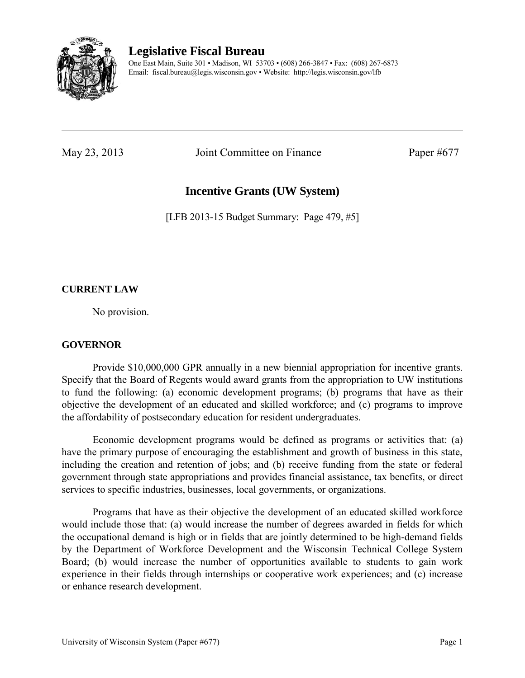

# **Legislative Fiscal Bureau**

One East Main, Suite 301 • Madison, WI 53703 • (608) 266-3847 • Fax: (608) 267-6873 Email: fiscal.bureau@legis.wisconsin.gov • Website:<http://legis.wisconsin.gov/lfb>

May 23, 2013 Joint Committee on Finance Paper #677

# **Incentive Grants (UW System)**

[LFB 2013-15 Budget Summary: Page 479, #5]

## **CURRENT LAW**

No provision.

### **GOVERNOR**

 Provide \$10,000,000 GPR annually in a new biennial appropriation for incentive grants. Specify that the Board of Regents would award grants from the appropriation to UW institutions to fund the following: (a) economic development programs; (b) programs that have as their objective the development of an educated and skilled workforce; and (c) programs to improve the affordability of postsecondary education for resident undergraduates.

 Economic development programs would be defined as programs or activities that: (a) have the primary purpose of encouraging the establishment and growth of business in this state, including the creation and retention of jobs; and (b) receive funding from the state or federal government through state appropriations and provides financial assistance, tax benefits, or direct services to specific industries, businesses, local governments, or organizations.

 Programs that have as their objective the development of an educated skilled workforce would include those that: (a) would increase the number of degrees awarded in fields for which the occupational demand is high or in fields that are jointly determined to be high-demand fields by the Department of Workforce Development and the Wisconsin Technical College System Board; (b) would increase the number of opportunities available to students to gain work experience in their fields through internships or cooperative work experiences; and (c) increase or enhance research development.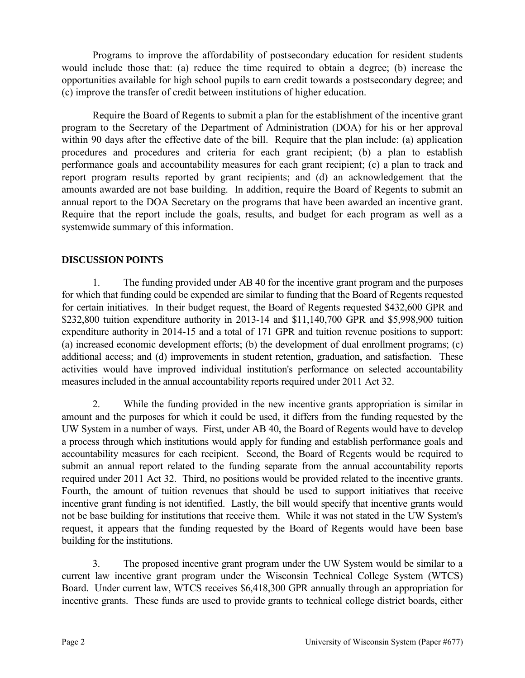Programs to improve the affordability of postsecondary education for resident students would include those that: (a) reduce the time required to obtain a degree; (b) increase the opportunities available for high school pupils to earn credit towards a postsecondary degree; and (c) improve the transfer of credit between institutions of higher education.

 Require the Board of Regents to submit a plan for the establishment of the incentive grant program to the Secretary of the Department of Administration (DOA) for his or her approval within 90 days after the effective date of the bill. Require that the plan include: (a) application procedures and procedures and criteria for each grant recipient; (b) a plan to establish performance goals and accountability measures for each grant recipient; (c) a plan to track and report program results reported by grant recipients; and (d) an acknowledgement that the amounts awarded are not base building. In addition, require the Board of Regents to submit an annual report to the DOA Secretary on the programs that have been awarded an incentive grant. Require that the report include the goals, results, and budget for each program as well as a systemwide summary of this information.

#### **DISCUSSION POINTS**

1. The funding provided under AB 40 for the incentive grant program and the purposes for which that funding could be expended are similar to funding that the Board of Regents requested for certain initiatives. In their budget request, the Board of Regents requested \$432,600 GPR and \$232,800 tuition expenditure authority in 2013-14 and \$11,140,700 GPR and \$5,998,900 tuition expenditure authority in 2014-15 and a total of 171 GPR and tuition revenue positions to support: (a) increased economic development efforts; (b) the development of dual enrollment programs; (c) additional access; and (d) improvements in student retention, graduation, and satisfaction. These activities would have improved individual institution's performance on selected accountability measures included in the annual accountability reports required under 2011 Act 32.

2. While the funding provided in the new incentive grants appropriation is similar in amount and the purposes for which it could be used, it differs from the funding requested by the UW System in a number of ways. First, under AB 40, the Board of Regents would have to develop a process through which institutions would apply for funding and establish performance goals and accountability measures for each recipient. Second, the Board of Regents would be required to submit an annual report related to the funding separate from the annual accountability reports required under 2011 Act 32. Third, no positions would be provided related to the incentive grants. Fourth, the amount of tuition revenues that should be used to support initiatives that receive incentive grant funding is not identified. Lastly, the bill would specify that incentive grants would not be base building for institutions that receive them. While it was not stated in the UW System's request, it appears that the funding requested by the Board of Regents would have been base building for the institutions.

3. The proposed incentive grant program under the UW System would be similar to a current law incentive grant program under the Wisconsin Technical College System (WTCS) Board. Under current law, WTCS receives \$6,418,300 GPR annually through an appropriation for incentive grants. These funds are used to provide grants to technical college district boards, either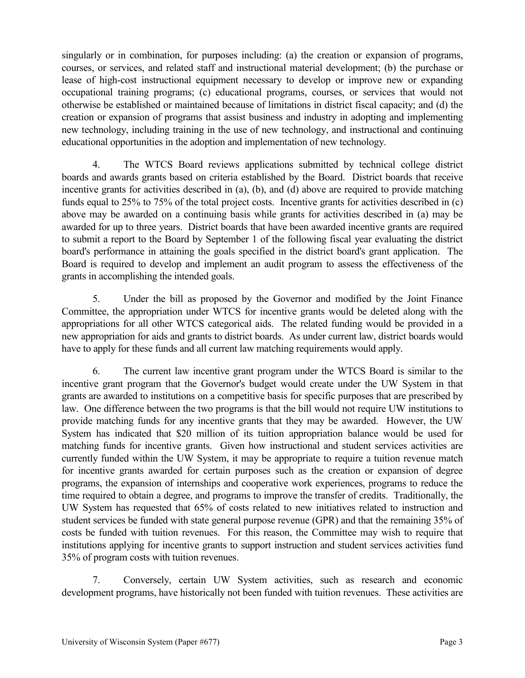singularly or in combination, for purposes including: (a) the creation or expansion of programs, courses, or services, and related staff and instructional material development; (b) the purchase or lease of high-cost instructional equipment necessary to develop or improve new or expanding occupational training programs; (c) educational programs, courses, or services that would not otherwise be established or maintained because of limitations in district fiscal capacity; and (d) the creation or expansion of programs that assist business and industry in adopting and implementing new technology, including training in the use of new technology, and instructional and continuing educational opportunities in the adoption and implementation of new technology.

4. The WTCS Board reviews applications submitted by technical college district boards and awards grants based on criteria established by the Board. District boards that receive incentive grants for activities described in (a), (b), and (d) above are required to provide matching funds equal to 25% to 75% of the total project costs. Incentive grants for activities described in (c) above may be awarded on a continuing basis while grants for activities described in (a) may be awarded for up to three years. District boards that have been awarded incentive grants are required to submit a report to the Board by September 1 of the following fiscal year evaluating the district board's performance in attaining the goals specified in the district board's grant application. The Board is required to develop and implement an audit program to assess the effectiveness of the grants in accomplishing the intended goals.

5. Under the bill as proposed by the Governor and modified by the Joint Finance Committee, the appropriation under WTCS for incentive grants would be deleted along with the appropriations for all other WTCS categorical aids. The related funding would be provided in a new appropriation for aids and grants to district boards. As under current law, district boards would have to apply for these funds and all current law matching requirements would apply.

6. The current law incentive grant program under the WTCS Board is similar to the incentive grant program that the Governor's budget would create under the UW System in that grants are awarded to institutions on a competitive basis for specific purposes that are prescribed by law. One difference between the two programs is that the bill would not require UW institutions to provide matching funds for any incentive grants that they may be awarded. However, the UW System has indicated that \$20 million of its tuition appropriation balance would be used for matching funds for incentive grants. Given how instructional and student services activities are currently funded within the UW System, it may be appropriate to require a tuition revenue match for incentive grants awarded for certain purposes such as the creation or expansion of degree programs, the expansion of internships and cooperative work experiences, programs to reduce the time required to obtain a degree, and programs to improve the transfer of credits. Traditionally, the UW System has requested that 65% of costs related to new initiatives related to instruction and student services be funded with state general purpose revenue (GPR) and that the remaining 35% of costs be funded with tuition revenues. For this reason, the Committee may wish to require that institutions applying for incentive grants to support instruction and student services activities fund 35% of program costs with tuition revenues.

7. Conversely, certain UW System activities, such as research and economic development programs, have historically not been funded with tuition revenues. These activities are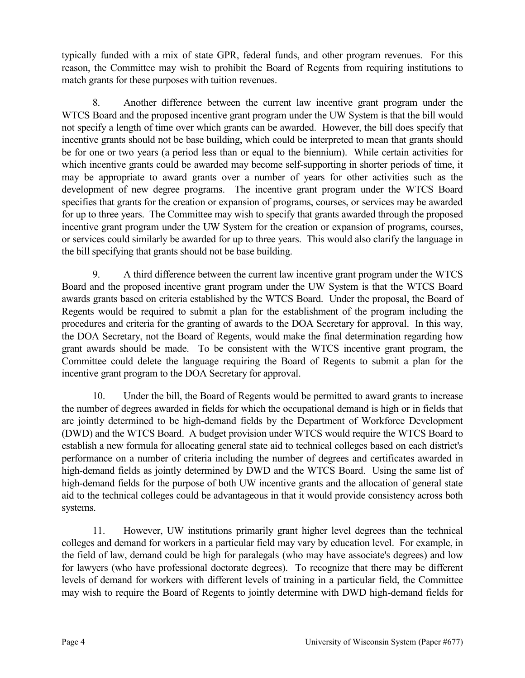typically funded with a mix of state GPR, federal funds, and other program revenues. For this reason, the Committee may wish to prohibit the Board of Regents from requiring institutions to match grants for these purposes with tuition revenues.

8. Another difference between the current law incentive grant program under the WTCS Board and the proposed incentive grant program under the UW System is that the bill would not specify a length of time over which grants can be awarded. However, the bill does specify that incentive grants should not be base building, which could be interpreted to mean that grants should be for one or two years (a period less than or equal to the biennium). While certain activities for which incentive grants could be awarded may become self-supporting in shorter periods of time, it may be appropriate to award grants over a number of years for other activities such as the development of new degree programs. The incentive grant program under the WTCS Board specifies that grants for the creation or expansion of programs, courses, or services may be awarded for up to three years. The Committee may wish to specify that grants awarded through the proposed incentive grant program under the UW System for the creation or expansion of programs, courses, or services could similarly be awarded for up to three years. This would also clarify the language in the bill specifying that grants should not be base building.

9. A third difference between the current law incentive grant program under the WTCS Board and the proposed incentive grant program under the UW System is that the WTCS Board awards grants based on criteria established by the WTCS Board. Under the proposal, the Board of Regents would be required to submit a plan for the establishment of the program including the procedures and criteria for the granting of awards to the DOA Secretary for approval. In this way, the DOA Secretary, not the Board of Regents, would make the final determination regarding how grant awards should be made. To be consistent with the WTCS incentive grant program, the Committee could delete the language requiring the Board of Regents to submit a plan for the incentive grant program to the DOA Secretary for approval.

10. Under the bill, the Board of Regents would be permitted to award grants to increase the number of degrees awarded in fields for which the occupational demand is high or in fields that are jointly determined to be high-demand fields by the Department of Workforce Development (DWD) and the WTCS Board. A budget provision under WTCS would require the WTCS Board to establish a new formula for allocating general state aid to technical colleges based on each district's performance on a number of criteria including the number of degrees and certificates awarded in high-demand fields as jointly determined by DWD and the WTCS Board. Using the same list of high-demand fields for the purpose of both UW incentive grants and the allocation of general state aid to the technical colleges could be advantageous in that it would provide consistency across both systems.

11. However, UW institutions primarily grant higher level degrees than the technical colleges and demand for workers in a particular field may vary by education level. For example, in the field of law, demand could be high for paralegals (who may have associate's degrees) and low for lawyers (who have professional doctorate degrees). To recognize that there may be different levels of demand for workers with different levels of training in a particular field, the Committee may wish to require the Board of Regents to jointly determine with DWD high-demand fields for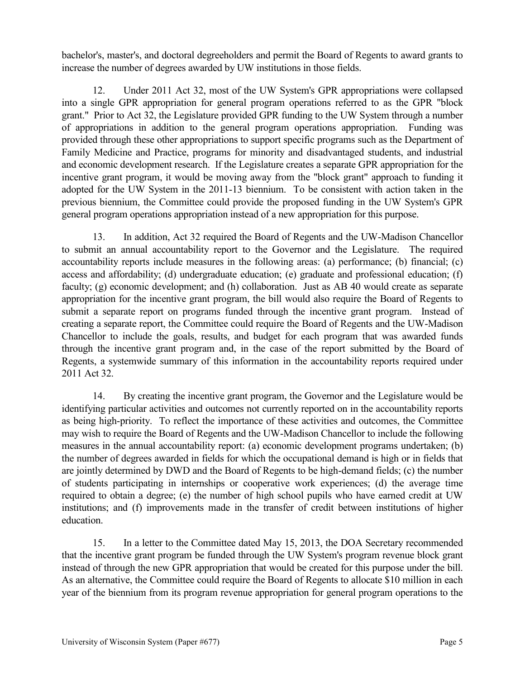bachelor's, master's, and doctoral degreeholders and permit the Board of Regents to award grants to increase the number of degrees awarded by UW institutions in those fields.

12. Under 2011 Act 32, most of the UW System's GPR appropriations were collapsed into a single GPR appropriation for general program operations referred to as the GPR "block grant." Prior to Act 32, the Legislature provided GPR funding to the UW System through a number of appropriations in addition to the general program operations appropriation. Funding was provided through these other appropriations to support specific programs such as the Department of Family Medicine and Practice, programs for minority and disadvantaged students, and industrial and economic development research. If the Legislature creates a separate GPR appropriation for the incentive grant program, it would be moving away from the "block grant" approach to funding it adopted for the UW System in the 2011-13 biennium. To be consistent with action taken in the previous biennium, the Committee could provide the proposed funding in the UW System's GPR general program operations appropriation instead of a new appropriation for this purpose.

13. In addition, Act 32 required the Board of Regents and the UW-Madison Chancellor to submit an annual accountability report to the Governor and the Legislature. The required accountability reports include measures in the following areas: (a) performance; (b) financial; (c) access and affordability; (d) undergraduate education; (e) graduate and professional education; (f) faculty; (g) economic development; and (h) collaboration. Just as AB 40 would create as separate appropriation for the incentive grant program, the bill would also require the Board of Regents to submit a separate report on programs funded through the incentive grant program. Instead of creating a separate report, the Committee could require the Board of Regents and the UW-Madison Chancellor to include the goals, results, and budget for each program that was awarded funds through the incentive grant program and, in the case of the report submitted by the Board of Regents, a systemwide summary of this information in the accountability reports required under 2011 Act 32.

14. By creating the incentive grant program, the Governor and the Legislature would be identifying particular activities and outcomes not currently reported on in the accountability reports as being high-priority. To reflect the importance of these activities and outcomes, the Committee may wish to require the Board of Regents and the UW-Madison Chancellor to include the following measures in the annual accountability report: (a) economic development programs undertaken; (b) the number of degrees awarded in fields for which the occupational demand is high or in fields that are jointly determined by DWD and the Board of Regents to be high-demand fields; (c) the number of students participating in internships or cooperative work experiences; (d) the average time required to obtain a degree; (e) the number of high school pupils who have earned credit at UW institutions; and (f) improvements made in the transfer of credit between institutions of higher education.

15. In a letter to the Committee dated May 15, 2013, the DOA Secretary recommended that the incentive grant program be funded through the UW System's program revenue block grant instead of through the new GPR appropriation that would be created for this purpose under the bill. As an alternative, the Committee could require the Board of Regents to allocate \$10 million in each year of the biennium from its program revenue appropriation for general program operations to the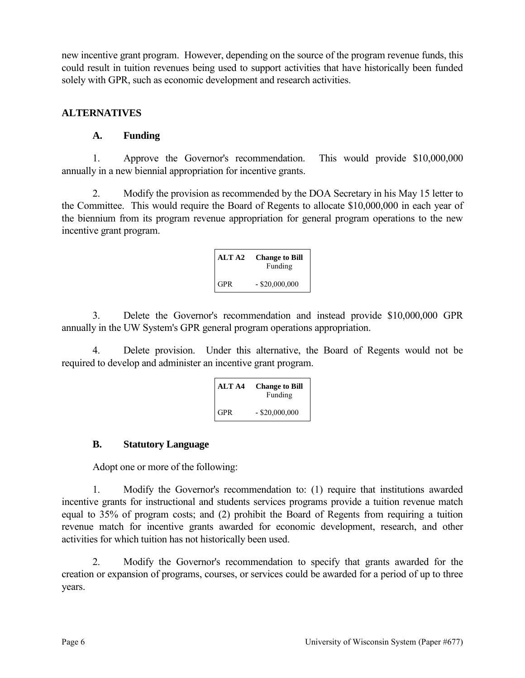new incentive grant program. However, depending on the source of the program revenue funds, this could result in tuition revenues being used to support activities that have historically been funded solely with GPR, such as economic development and research activities.

## **ALTERNATIVES**

## **A. Funding**

1. Approve the Governor's recommendation. This would provide \$10,000,000 annually in a new biennial appropriation for incentive grants.

2. Modify the provision as recommended by the DOA Secretary in his May 15 letter to the Committee. This would require the Board of Regents to allocate \$10,000,000 in each year of the biennium from its program revenue appropriation for general program operations to the new incentive grant program.

| ALT A2 | <b>Change to Bill</b><br>Funding |
|--------|----------------------------------|
| GPR    | $-$ \$20,000,000                 |

3. Delete the Governor's recommendation and instead provide \$10,000,000 GPR annually in the UW System's GPR general program operations appropriation.

4. Delete provision. Under this alternative, the Board of Regents would not be required to develop and administer an incentive grant program.

| ALT A4     | <b>Change to Bill</b><br>Funding |
|------------|----------------------------------|
| <b>GPR</b> | $-$ \$20,000,000                 |

### **B. Statutory Language**

Adopt one or more of the following:

1. Modify the Governor's recommendation to: (1) require that institutions awarded incentive grants for instructional and students services programs provide a tuition revenue match equal to 35% of program costs; and (2) prohibit the Board of Regents from requiring a tuition revenue match for incentive grants awarded for economic development, research, and other activities for which tuition has not historically been used.

2. Modify the Governor's recommendation to specify that grants awarded for the creation or expansion of programs, courses, or services could be awarded for a period of up to three years.